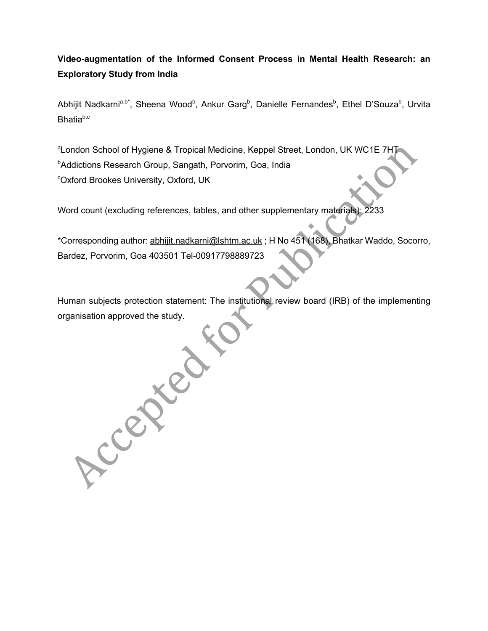# **Video-augmentation of the Informed Consent Process in Mental Health Research: an Exploratory Study from India**

Abhijit Nadkarni<sup>a,b\*</sup>, Sheena Wood<sup>b</sup>, Ankur Garg<sup>b</sup>, Danielle Fernandes<sup>b</sup>, Ethel D'Souza<sup>b</sup>, Urvita Bhatiab,c

<sup>a</sup>London School of Hygiene & Tropical Medicine, Keppel Street, London, UK WC1E 7HT <sup>b</sup>Addictions Research Group, Sangath, Porvorim, Goa, India c Oxford Brookes University, Oxford, UK

Word count (excluding references, tables, and other supplementary materials): 2233

Accepted

\*Corresponding author: abhijit.nadkarni@lshtm.ac.uk ; H No 451 (168), Bhatkar Waddo, Socorro, Bardez, Porvorim, Goa 403501 Tel-00917798889723

Human subjects protection statement: The institutional review board (IRB) of the implementing organisation approved the study.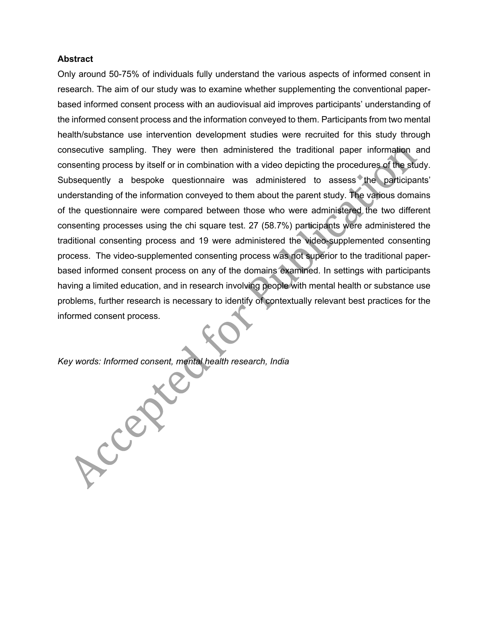#### **Abstract**

Only around 50-75% of individuals fully understand the various aspects of informed consent in research. The aim of our study was to examine whether supplementing the conventional paperbased informed consent process with an audiovisual aid improves participants' understanding of the informed consent process and the information conveyed to them. Participants from two mental health/substance use intervention development studies were recruited for this study through consecutive sampling. They were then administered the traditional paper information and consenting process by itself or in combination with a video depicting the procedures of the study. Subsequently a bespoke questionnaire was administered to assess the participants' understanding of the information conveyed to them about the parent study. The various domains of the questionnaire were compared between those who were administered the two different consenting processes using the chi square test. 27 (58.7%) participants were administered the traditional consenting process and 19 were administered the video-supplemented consenting process. The video-supplemented consenting process was not superior to the traditional paperbased informed consent process on any of the domains examined. In settings with participants having a limited education, and in research involving people with mental health or substance use problems, further research is necessary to identify of contextually relevant best practices for the informed consent process.

*Key words: Informed consent, mental health research, India*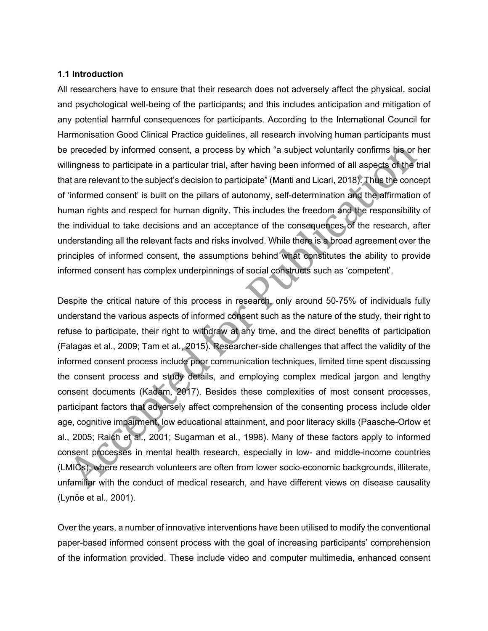#### **1.1 Introduction**

All researchers have to ensure that their research does not adversely affect the physical, social and psychological well-being of the participants; and this includes anticipation and mitigation of any potential harmful consequences for participants. According to the International Council for Harmonisation Good Clinical Practice guidelines, all research involving human participants must be preceded by informed consent, a process by which "a subject voluntarily confirms his or her willingness to participate in a particular trial, after having been informed of all aspects of the trial that are relevant to the subject's decision to participate" (Manti and Licari, 2018). Thus the concept of 'informed consent' is built on the pillars of autonomy, self-determination and the affirmation of human rights and respect for human dignity. This includes the freedom and the responsibility of the individual to take decisions and an acceptance of the consequences of the research, after understanding all the relevant facts and risks involved. While there is a broad agreement over the principles of informed consent, the assumptions behind what constitutes the ability to provide informed consent has complex underpinnings of social constructs such as 'competent'.

Despite the critical nature of this process in research, only around 50-75% of individuals fully understand the various aspects of informed consent such as the nature of the study, their right to refuse to participate, their right to withdraw at any time, and the direct benefits of participation (Falagas et al., 2009; Tam et al., 2015). Researcher-side challenges that affect the validity of the informed consent process include poor communication techniques, limited time spent discussing the consent process and study details, and employing complex medical jargon and lengthy consent documents (Kadam, 2017). Besides these complexities of most consent processes, participant factors that adversely affect comprehension of the consenting process include older age, cognitive impairment, low educational attainment, and poor literacy skills (Paasche-Orlow et al., 2005; Raich et al., 2001; Sugarman et al., 1998). Many of these factors apply to informed consent processes in mental health research, especially in low- and middle-income countries (LMICs), where research volunteers are often from lower socio-economic backgrounds, illiterate, unfamiliar with the conduct of medical research, and have different views on disease causality (Lynöe et al., 2001).

Over the years, a number of innovative interventions have been utilised to modify the conventional paper-based informed consent process with the goal of increasing participants' comprehension of the information provided. These include video and computer multimedia, enhanced consent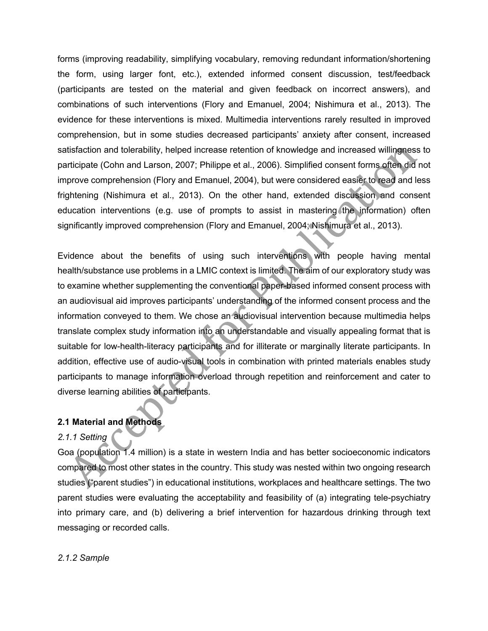forms (improving readability, simplifying vocabulary, removing redundant information/shortening the form, using larger font, etc.), extended informed consent discussion, test/feedback (participants are tested on the material and given feedback on incorrect answers), and combinations of such interventions (Flory and Emanuel, 2004; Nishimura et al., 2013). The evidence for these interventions is mixed. Multimedia interventions rarely resulted in improved comprehension, but in some studies decreased participants' anxiety after consent, increased satisfaction and tolerability, helped increase retention of knowledge and increased willingness to participate (Cohn and Larson, 2007; Philippe et al., 2006). Simplified consent forms often did not improve comprehension (Flory and Emanuel, 2004), but were considered easier to read and less frightening (Nishimura et al., 2013). On the other hand, extended discussion and consent education interventions (e.g. use of prompts to assist in mastering the information) often significantly improved comprehension (Flory and Emanuel, 2004; Nishimura et al., 2013).

Evidence about the benefits of using such interventions with people having mental health/substance use problems in a LMIC context is limited. The aim of our exploratory study was to examine whether supplementing the conventional paper-based informed consent process with an audiovisual aid improves participants' understanding of the informed consent process and the information conveyed to them. We chose an audiovisual intervention because multimedia helps translate complex study information into an understandable and visually appealing format that is suitable for low-health-literacy participants and for illiterate or marginally literate participants. In addition, effective use of audio-visual tools in combination with printed materials enables study participants to manage information overload through repetition and reinforcement and cater to diverse learning abilities of participants.

## **2.1 Material and Methods**

#### *2.1.1 Setting*

Goa (population 1.4 million) is a state in western India and has better socioeconomic indicators compared to most other states in the country. This study was nested within two ongoing research studies ("parent studies") in educational institutions, workplaces and healthcare settings. The two parent studies were evaluating the acceptability and feasibility of (a) integrating tele-psychiatry into primary care, and (b) delivering a brief intervention for hazardous drinking through text messaging or recorded calls.

#### *2.1.2 Sample*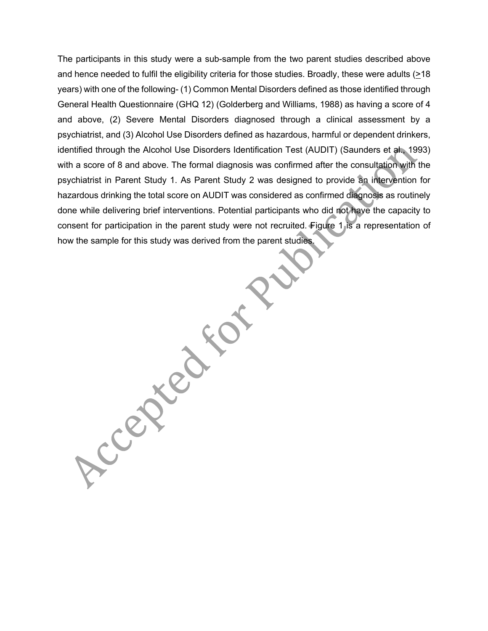The participants in this study were a sub-sample from the two parent studies described above and hence needed to fulfil the eligibility criteria for those studies. Broadly, these were adults (>18 years) with one of the following- (1) Common Mental Disorders defined as those identified through General Health Questionnaire (GHQ 12) (Golderberg and Williams, 1988) as having a score of 4 and above, (2) Severe Mental Disorders diagnosed through a clinical assessment by a psychiatrist, and (3) Alcohol Use Disorders defined as hazardous, harmful or dependent drinkers, identified through the Alcohol Use Disorders Identification Test (AUDIT) (Saunders et al., 1993) with a score of 8 and above. The formal diagnosis was confirmed after the consultation with the psychiatrist in Parent Study 1. As Parent Study 2 was designed to provide an intervention for hazardous drinking the total score on AUDIT was considered as confirmed diagnosis as routinely done while delivering brief interventions. Potential participants who did not have the capacity to consent for participation in the parent study were not recruited. Figure 1 is a representation of how the sample for this study was derived from the parent studies.

Accepted to 12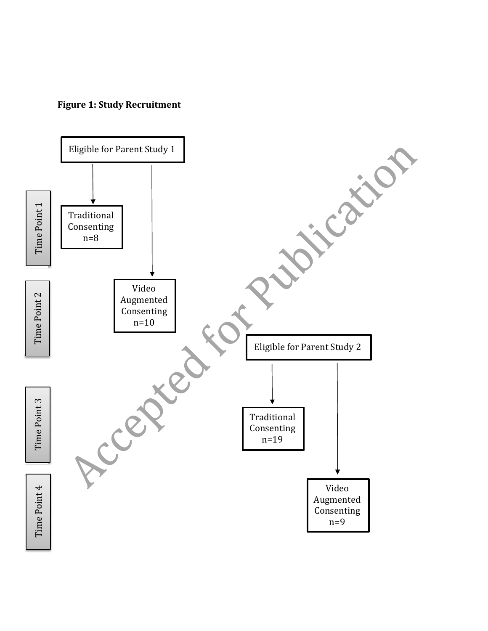

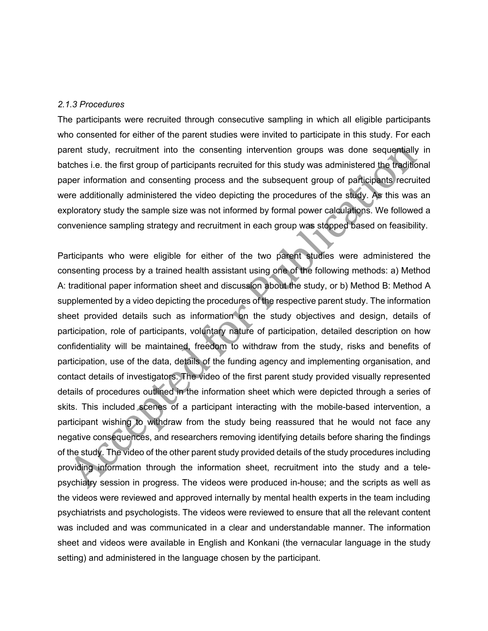#### *2.1.3 Procedures*

The participants were recruited through consecutive sampling in which all eligible participants who consented for either of the parent studies were invited to participate in this study. For each parent study, recruitment into the consenting intervention groups was done sequentially in batches i.e. the first group of participants recruited for this study was administered the traditional paper information and consenting process and the subsequent group of participants recruited were additionally administered the video depicting the procedures of the study. As this was an exploratory study the sample size was not informed by formal power calculations. We followed a convenience sampling strategy and recruitment in each group was stopped based on feasibility.

Participants who were eligible for either of the two parent studies were administered the consenting process by a trained health assistant using one of the following methods: a) Method A: traditional paper information sheet and discussion about the study, or b) Method B: Method A supplemented by a video depicting the procedures of the respective parent study. The information sheet provided details such as information on the study objectives and design, details of participation, role of participants, voluntary nature of participation, detailed description on how confidentiality will be maintained, freedom to withdraw from the study, risks and benefits of participation, use of the data, details of the funding agency and implementing organisation, and contact details of investigators. The video of the first parent study provided visually represented details of procedures outlined in the information sheet which were depicted through a series of skits. This included scenes of a participant interacting with the mobile-based intervention, a participant wishing to withdraw from the study being reassured that he would not face any negative consequences, and researchers removing identifying details before sharing the findings of the study. The video of the other parent study provided details of the study procedures including providing information through the information sheet, recruitment into the study and a telepsychiatry session in progress. The videos were produced in-house; and the scripts as well as the videos were reviewed and approved internally by mental health experts in the team including psychiatrists and psychologists. The videos were reviewed to ensure that all the relevant content was included and was communicated in a clear and understandable manner. The information sheet and videos were available in English and Konkani (the vernacular language in the study setting) and administered in the language chosen by the participant.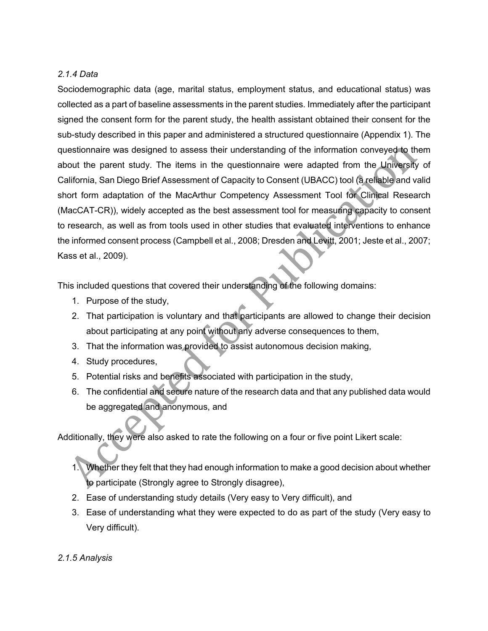## *2.1.4 Data*

Sociodemographic data (age, marital status, employment status, and educational status) was collected as a part of baseline assessments in the parent studies. Immediately after the participant signed the consent form for the parent study, the health assistant obtained their consent for the sub-study described in this paper and administered a structured questionnaire (Appendix 1). The questionnaire was designed to assess their understanding of the information conveyed to them about the parent study. The items in the questionnaire were adapted from the University of California, San Diego Brief Assessment of Capacity to Consent (UBACC) tool (a reliable and valid short form adaptation of the MacArthur Competency Assessment Tool for Clinical Research (MacCAT-CR)), widely accepted as the best assessment tool for measuring capacity to consent to research, as well as from tools used in other studies that evaluated interventions to enhance the informed consent process (Campbell et al., 2008; Dresden and Levitt, 2001; Jeste et al., 2007; Kass et al., 2009).

This included questions that covered their understanding of the following domains:

- 1. Purpose of the study,
- 2. That participation is voluntary and that participants are allowed to change their decision about participating at any point without any adverse consequences to them,
- 3. That the information was provided to assist autonomous decision making,
- 4. Study procedures,
- 5. Potential risks and benefits associated with participation in the study,
- 6. The confidential and secure nature of the research data and that any published data would be aggregated and anonymous, and

Additionally, they were also asked to rate the following on a four or five point Likert scale:

- 1. Whether they felt that they had enough information to make a good decision about whether to participate (Strongly agree to Strongly disagree),
- 2. Ease of understanding study details (Very easy to Very difficult), and
- 3. Ease of understanding what they were expected to do as part of the study (Very easy to Very difficult).
- *2.1.5 Analysis*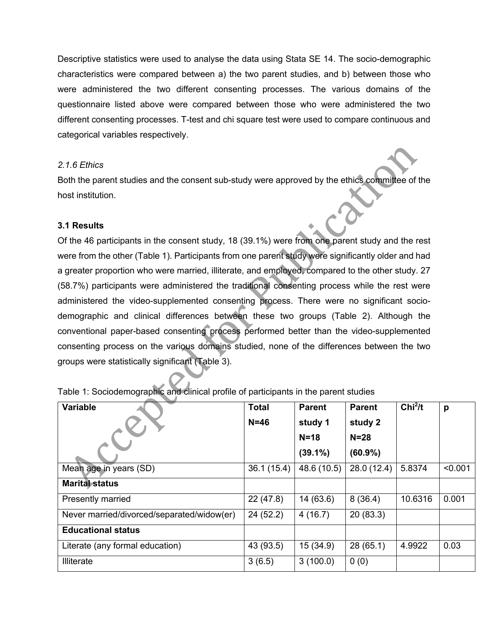Descriptive statistics were used to analyse the data using Stata SE 14. The socio-demographic characteristics were compared between a) the two parent studies, and b) between those who were administered the two different consenting processes. The various domains of the questionnaire listed above were compared between those who were administered the two different consenting processes. T-test and chi square test were used to compare continuous and categorical variables respectively.

## *2.1.6 Ethics*

Both the parent studies and the consent sub-study were approved by the ethics committee of the host institution.

## **3.1 Results**

Of the 46 participants in the consent study, 18 (39.1%) were from one parent study and the rest were from the other (Table 1). Participants from one parent study were significantly older and had a greater proportion who were married, illiterate, and employed, compared to the other study. 27 (58.7%) participants were administered the traditional consenting process while the rest were administered the video-supplemented consenting process. There were no significant sociodemographic and clinical differences between these two groups (Table 2). Although the conventional paper-based consenting process performed better than the video-supplemented consenting process on the various domains studied, none of the differences between the two groups were statistically significant (Table 3).

| <b>Variable</b>                            | <b>Total</b> | <b>Parent</b> | <b>Parent</b> | Chi <sup>2</sup> /t | p       |
|--------------------------------------------|--------------|---------------|---------------|---------------------|---------|
|                                            | $N=46$       | study 1       | study 2       |                     |         |
|                                            |              | $N=18$        | $N = 28$      |                     |         |
|                                            |              | $(39.1\%)$    | $(60.9\%)$    |                     |         |
| Mean age in years (SD)                     | 36.1(15.4)   | 48.6 (10.5)   | 28.0(12.4)    | 5.8374              | < 0.001 |
| <b>Marital status</b>                      |              |               |               |                     |         |
| Presently married                          | 22(47.8)     | 14(63.6)      | 8(36.4)       | 10.6316             | 0.001   |
| Never married/divorced/separated/widow(er) | 24(52.2)     | 4(16.7)       | 20 (83.3)     |                     |         |
| <b>Educational status</b>                  |              |               |               |                     |         |
| Literate (any formal education)            | 43 (93.5)    | 15 (34.9)     | 28(65.1)      | 4.9922              | 0.03    |
| <b>Illiterate</b>                          | 3(6.5)       | 3(100.0)      | 0(0)          |                     |         |

Table 1: Sociodemographic and clinical profile of participants in the parent studies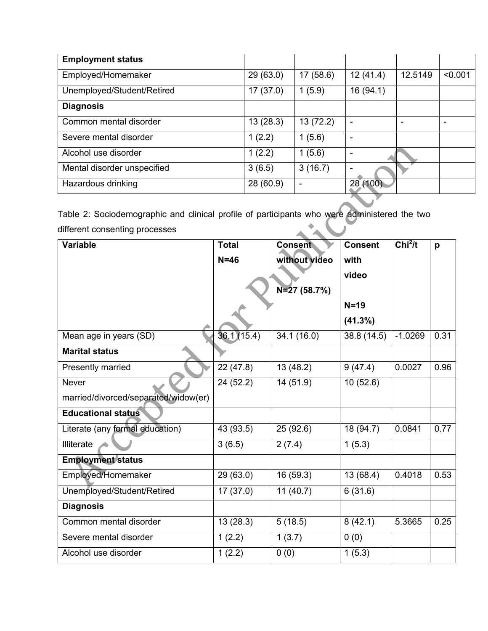| <b>Employment status</b>    |           |                          |          |         |         |
|-----------------------------|-----------|--------------------------|----------|---------|---------|
| Employed/Homemaker          | 29(63.0)  | 17(58.6)                 | 12(41.4) | 12.5149 | < 0.001 |
| Unemployed/Student/Retired  | 17(37.0)  | 1(5.9)                   | 16(94.1) |         |         |
| <b>Diagnosis</b>            |           |                          |          |         |         |
| Common mental disorder      | 13(28.3)  | 13(72.2)                 | ۰        |         | ۰       |
| Severe mental disorder      | 1(2.2)    | 1(5.6)                   | ۰        |         |         |
| Alcohol use disorder        | 1(2.2)    | 1(5.6)                   | ٠        |         |         |
| Mental disorder unspecified | 3(6.5)    | 3(16.7)                  | ۰        |         |         |
| Hazardous drinking          | 28 (60.9) | $\overline{\phantom{0}}$ | 28 (100) |         |         |

Table 2: Sociodemographic and clinical profile of participants who were administered the two A'A U different consenting processes

| <b>Variable</b>                      | <b>Total</b>            | <b>Consent</b>       | <b>Consent</b> | Chi <sup>2</sup> /t | p    |
|--------------------------------------|-------------------------|----------------------|----------------|---------------------|------|
|                                      | $N=46$                  | without video        | with           |                     |      |
|                                      |                         |                      | video          |                     |      |
|                                      |                         | $N=27(58.7%)$        |                |                     |      |
|                                      |                         |                      | $N=19$         |                     |      |
|                                      |                         |                      | (41.3%)        |                     |      |
| Mean age in years (SD)               | 36.1(15.4)              | 34.1 (16.0)          | 38.8 (14.5)    | $-1.0269$           | 0.31 |
| <b>Marital status</b>                |                         |                      |                |                     |      |
| Presently married                    | 22 (47.8)               | 13 (48.2)            | 9(47.4)        | 0.0027              | 0.96 |
| <b>Never</b>                         | $\overline{2}$ 4 (52.2) | 14(51.9)             | 10(52.6)       |                     |      |
| married/divorced/separated/widow(er) |                         |                      |                |                     |      |
| <b>Educational status</b>            |                         |                      |                |                     |      |
| Literate (any formal education)      | 43 (93.5)               | 25 (92.6)            | 18 (94.7)      | 0.0841              | 0.77 |
| Illiterate                           | 3(6.5)                  | 2(7.4)               | 1(5.3)         |                     |      |
| <b>Employment status</b>             |                         |                      |                |                     |      |
| Employed/Homemaker                   | 29 (63.0)               | 16 (59.3)            | 13(68.4)       | 0.4018              | 0.53 |
| Unemployed/Student/Retired           | 17(37.0)                | 11(40.7)             | 6(31.6)        |                     |      |
| <b>Diagnosis</b>                     |                         |                      |                |                     |      |
| Common mental disorder               | 13(28.3)                | 5(18.5)              | 8(42.1)        | 5.3665              | 0.25 |
| Severe mental disorder               | 1(2.2)                  | $\overline{1}$ (3.7) | 0(0)           |                     |      |
| Alcohol use disorder                 | 1(2.2)                  | 0(0)                 | 1(5.3)         |                     |      |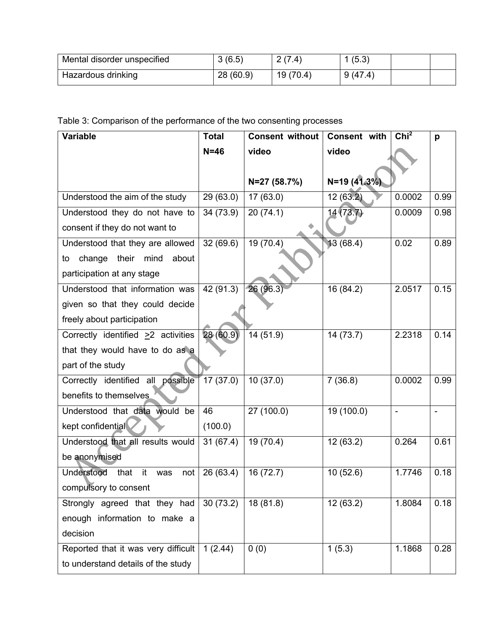| Mental disorder unspecified | 3(6.5)    | 2(7.4)   | (5.3)   |  |
|-----------------------------|-----------|----------|---------|--|
| Hazardous drinking          | 28 (60.9) | 19(70.4) | 9(47.4) |  |

# Table 3: Comparison of the performance of the two consenting processes

| <b>Variable</b>                          | <b>Total</b> | <b>Consent without</b> | Consent with | Chi <sup>2</sup> | p    |
|------------------------------------------|--------------|------------------------|--------------|------------------|------|
|                                          | $N=46$       | video                  | video        |                  |      |
|                                          |              |                        |              |                  |      |
|                                          |              | N=27 (58.7%)           | N=19 (41.3%) |                  |      |
| Understood the aim of the study          | 29(63.0)     | 17(63.0)               | 12(63.2)     | 0.0002           | 0.99 |
| Understood they do not have to           | 34 (73.9)    | 20(74.1)               | 14(73.7)     | 0.0009           | 0.98 |
| consent if they do not want to           |              |                        |              |                  |      |
| Understood that they are allowed         | 32(69.6)     | 19 (70.4)              | 13(68.4)     | 0.02             | 0.89 |
| change<br>their mind<br>about<br>to      |              |                        |              |                  |      |
| participation at any stage               |              |                        |              |                  |      |
| Understood that information was          | 42(91.3)     | 26(96.3)               | 16 (84.2)    | 2.0517           | 0.15 |
| given so that they could decide          |              |                        |              |                  |      |
| freely about participation               |              |                        |              |                  |      |
| Correctly identified $\geq 2$ activities | 28(60.9)     | 14 (51.9)              | 14(73.7)     | 2.2318           | 0.14 |
| that they would have to do as a          |              |                        |              |                  |      |
| part of the study                        |              |                        |              |                  |      |
| Correctly identified all possible        | 17(37.0)     | 10(37.0)               | 7(36.8)      | 0.0002           | 0.99 |
| benefits to themselves                   |              |                        |              |                  |      |
| Understood that data would be            | 46           | 27(100.0)              | 19(100.0)    | $\blacksquare$   |      |
| kept confidential                        | (100.0)      |                        |              |                  |      |
| Understood that all results would        | 31(67.4)     | 19(70.4)               | 12(63.2)     | 0.264            | 0.61 |
| be anonymised                            |              |                        |              |                  |      |
| Understood<br>that<br>it<br>was<br>not   | 26(63.4)     | 16(72.7)               | 10(52.6)     | 1.7746           | 0.18 |
| compulsory to consent                    |              |                        |              |                  |      |
| Strongly agreed that they had            | 30(73.2)     | 18(81.8)               | 12(63.2)     | 1.8084           | 0.18 |
| enough information to make a             |              |                        |              |                  |      |
| decision                                 |              |                        |              |                  |      |
| Reported that it was very difficult      | 1(2.44)      | 0(0)                   | 1(5.3)       | 1.1868           | 0.28 |
| to understand details of the study       |              |                        |              |                  |      |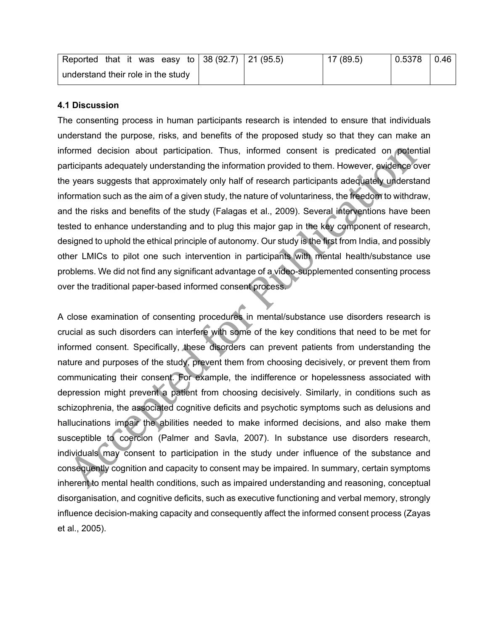| Reported that it was easy to 38 (92.7) 21 (95.5) |  | 17 (89.5) | 0.5378 | 0.46 |
|--------------------------------------------------|--|-----------|--------|------|
| understand their role in the study               |  |           |        |      |

#### **4.1 Discussion**

The consenting process in human participants research is intended to ensure that individuals understand the purpose, risks, and benefits of the proposed study so that they can make an informed decision about participation. Thus, informed consent is predicated on potential participants adequately understanding the information provided to them. However, evidence over the years suggests that approximately only half of research participants adequately understand information such as the aim of a given study, the nature of voluntariness, the freedom to withdraw, and the risks and benefits of the study (Falagas et al., 2009). Several interventions have been tested to enhance understanding and to plug this major gap in the key component of research, designed to uphold the ethical principle of autonomy. Our study is the first from India, and possibly other LMICs to pilot one such intervention in participants with mental health/substance use problems. We did not find any significant advantage of a video-supplemented consenting process over the traditional paper-based informed consent process.

A close examination of consenting procedures in mental/substance use disorders research is crucial as such disorders can interfere with some of the key conditions that need to be met for informed consent. Specifically, these disorders can prevent patients from understanding the nature and purposes of the study, prevent them from choosing decisively, or prevent them from communicating their consent. For example, the indifference or hopelessness associated with depression might prevent a patient from choosing decisively. Similarly, in conditions such as schizophrenia, the associated cognitive deficits and psychotic symptoms such as delusions and hallucinations impair the abilities needed to make informed decisions, and also make them susceptible to coercion (Palmer and Savla, 2007). In substance use disorders research, individuals may consent to participation in the study under influence of the substance and consequently cognition and capacity to consent may be impaired. In summary, certain symptoms inherent to mental health conditions, such as impaired understanding and reasoning, conceptual disorganisation, and cognitive deficits, such as executive functioning and verbal memory, strongly influence decision-making capacity and consequently affect the informed consent process (Zayas et al., 2005).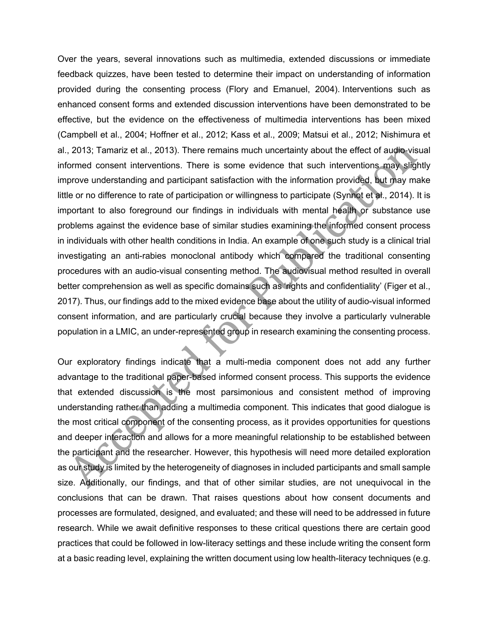Over the years, several innovations such as multimedia, extended discussions or immediate feedback quizzes, have been tested to determine their impact on understanding of information provided during the consenting process (Flory and Emanuel, 2004). Interventions such as enhanced consent forms and extended discussion interventions have been demonstrated to be effective, but the evidence on the effectiveness of multimedia interventions has been mixed (Campbell et al., 2004; Hoffner et al., 2012; Kass et al., 2009; Matsui et al., 2012; Nishimura et al., 2013; Tamariz et al., 2013). There remains much uncertainty about the effect of audio-visual informed consent interventions. There is some evidence that such interventions may slightly improve understanding and participant satisfaction with the information provided, but may make little or no difference to rate of participation or willingness to participate (Synnot et al., 2014). It is important to also foreground our findings in individuals with mental health or substance use problems against the evidence base of similar studies examining the informed consent process in individuals with other health conditions in India. An example of one such study is a clinical trial investigating an anti-rabies monoclonal antibody which compared the traditional consenting procedures with an audio-visual consenting method. The audiovisual method resulted in overall better comprehension as well as specific domains such as 'rights and confidentiality' (Figer et al., 2017). Thus, our findings add to the mixed evidence base about the utility of audio-visual informed consent information, and are particularly crucial because they involve a particularly vulnerable population in a LMIC, an under-represented group in research examining the consenting process.

Our exploratory findings indicate that a multi-media component does not add any further advantage to the traditional paper-based informed consent process. This supports the evidence that extended discussion is the most parsimonious and consistent method of improving understanding rather than adding a multimedia component. This indicates that good dialogue is the most critical component of the consenting process, as it provides opportunities for questions and deeper interaction and allows for a more meaningful relationship to be established between the participant and the researcher. However, this hypothesis will need more detailed exploration as our study is limited by the heterogeneity of diagnoses in included participants and small sample size. Additionally, our findings, and that of other similar studies, are not unequivocal in the conclusions that can be drawn. That raises questions about how consent documents and processes are formulated, designed, and evaluated; and these will need to be addressed in future research. While we await definitive responses to these critical questions there are certain good practices that could be followed in low-literacy settings and these include writing the consent form at a basic reading level, explaining the written document using low health-literacy techniques (e.g.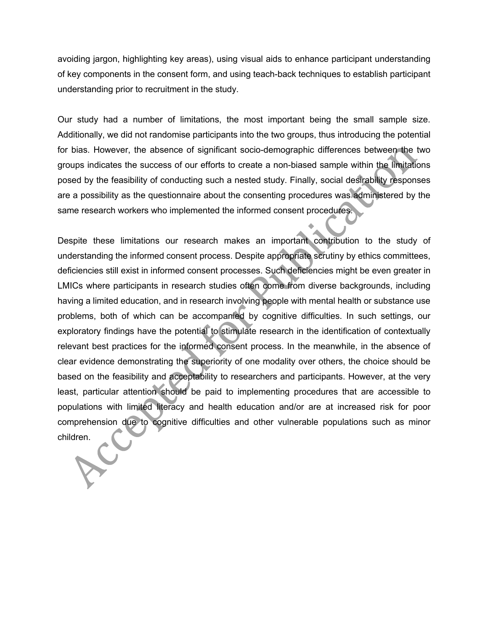avoiding jargon, highlighting key areas), using visual aids to enhance participant understanding of key components in the consent form, and using teach-back techniques to establish participant understanding prior to recruitment in the study.

Our study had a number of limitations, the most important being the small sample size. Additionally, we did not randomise participants into the two groups, thus introducing the potential for bias. However, the absence of significant socio-demographic differences between the two groups indicates the success of our efforts to create a non-biased sample within the limitations posed by the feasibility of conducting such a nested study. Finally, social desirability responses are a possibility as the questionnaire about the consenting procedures was administered by the same research workers who implemented the informed consent procedures.

Despite these limitations our research makes an important contribution to the study of understanding the informed consent process. Despite appropriate scrutiny by ethics committees, deficiencies still exist in informed consent processes. Such deficiencies might be even greater in LMICs where participants in research studies often come from diverse backgrounds, including having a limited education, and in research involving people with mental health or substance use problems, both of which can be accompanied by cognitive difficulties. In such settings, our exploratory findings have the potential to stimulate research in the identification of contextually relevant best practices for the informed consent process. In the meanwhile, in the absence of clear evidence demonstrating the superiority of one modality over others, the choice should be based on the feasibility and acceptability to researchers and participants. However, at the very least, particular attention should be paid to implementing procedures that are accessible to populations with limited literacy and health education and/or are at increased risk for poor comprehension due to cognitive difficulties and other vulnerable populations such as minor children.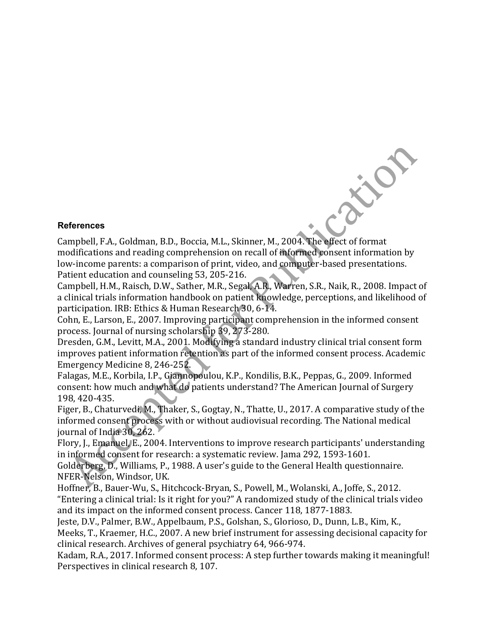#### **References**

Campbell, F.A., Goldman, B.D., Boccia, M.L., Skinner, M., 2004. The effect of format modifications and reading comprehension on recall of informed consent information by low-income parents: a comparison of print, video, and computer-based presentations. Patient education and counseling 53, 205-216.

River

Campbell, H.M., Raisch, D.W., Sather, M.R., Segal, A.R., Warren, S.R., Naik, R., 2008. Impact of a clinical trials information handbook on patient knowledge, perceptions, and likelihood of participation. IRB: Ethics & Human Research 30, 6-14.

Cohn, E., Larson, E., 2007. Improving participant comprehension in the informed consent process. Journal of nursing scholarship 39, 273-280.

Dresden, G.M., Levitt, M.A., 2001. Modifying a standard industry clinical trial consent form improves patient information retention as part of the informed consent process. Academic Emergency Medicine 8, 246-252.

Falagas, M.E., Korbila, I.P., Giannopoulou, K.P., Kondilis, B.K., Peppas, G., 2009. Informed consent: how much and what do patients understand? The American Journal of Surgery 198, 420-435.

Figer, B., Chaturvedi, M., Thaker, S., Gogtay, N., Thatte, U., 2017. A comparative study of the informed consent process with or without audiovisual recording. The National medical journal of India  $30, 262$ .

Flory, J., Emanuel, E., 2004. Interventions to improve research participants' understanding in informed consent for research: a systematic review. Jama 292, 1593-1601.

Golderberg, D., Williams, P., 1988. A user's guide to the General Health questionnaire. NFER-Nelson, Windsor, UK.

Hoffner, B., Bauer-Wu, S., Hitchcock-Bryan, S., Powell, M., Wolanski, A., Joffe, S., 2012. "Entering a clinical trial: Is it right for you?" A randomized study of the clinical trials video and its impact on the informed consent process. Cancer 118, 1877-1883.

Jeste, D.V., Palmer, B.W., Appelbaum, P.S., Golshan, S., Glorioso, D., Dunn, L.B., Kim, K., Meeks, T., Kraemer, H.C., 2007. A new brief instrument for assessing decisional capacity for clinical research. Archives of general psychiatry 64, 966-974.

Kadam, R.A., 2017. Informed consent process: A step further towards making it meaningful! Perspectives in clinical research 8, 107.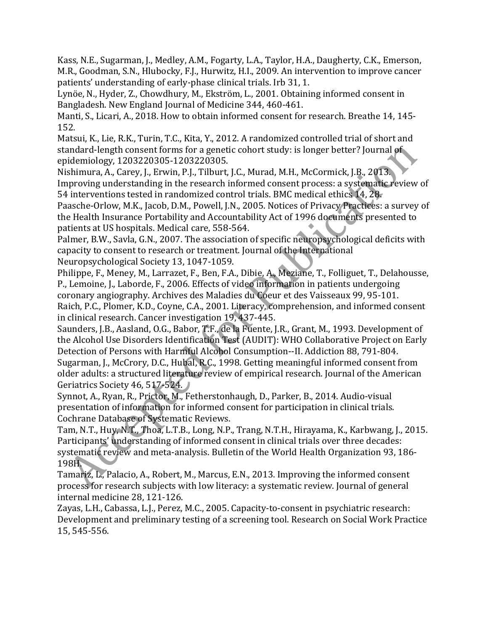Kass, N.E., Sugarman, J., Medley, A.M., Fogarty, L.A., Taylor, H.A., Daugherty, C.K., Emerson, M.R., Goodman, S.N., Hlubocky, F.J., Hurwitz, H.I., 2009. An intervention to improve cancer patients' understanding of early-phase clinical trials. Irb 31, 1.

Lynöe, N., Hyder, Z., Chowdhury, M., Ekström, L., 2001. Obtaining informed consent in Bangladesh. New England Journal of Medicine 344, 460-461.

Manti, S., Licari, A., 2018. How to obtain informed consent for research. Breathe 14, 145-152.

Matsui, K., Lie, R.K., Turin, T.C., Kita, Y., 2012. A randomized controlled trial of short and standard-length consent forms for a genetic cohort study: is longer better? Journal of epidemiology, 1203220305-1203220305.

Nishimura, A., Carey, J., Erwin, P.J., Tilburt, J.C., Murad, M.H., McCormick, J.B., 2013. Improving understanding in the research informed consent process: a systematic review of 54 interventions tested in randomized control trials. BMC medical ethics  $14$ ,  $28$ .

Paasche-Orlow, M.K., Jacob, D.M., Powell, J.N., 2005. Notices of Privacy Practices: a survey of the Health Insurance Portability and Accountability Act of 1996 documents presented to patients at US hospitals. Medical care, 558-564.

Palmer, B.W., Savla, G.N., 2007. The association of specific neuropsychological deficits with capacity to consent to research or treatment. Journal of the International Neuropsychological Society 13, 1047-1059.

Philippe, F., Meney, M., Larrazet, F., Ben, F.A., Dibie, A., Meziane, T., Folliguet, T., Delahousse, P., Lemoine, J., Laborde, F., 2006. Effects of video information in patients undergoing coronary angiography. Archives des Maladies du Coeur et des Vaisseaux 99, 95-101. Raich, P.C., Plomer, K.D., Coyne, C.A., 2001. Literacy, comprehension, and informed consent in clinical research. Cancer investigation 19, 437-445.

Saunders, J.B., Aasland, O.G., Babor, T.F., de la Fuente, J.R., Grant, M., 1993. Development of the Alcohol Use Disorders Identification Test (AUDIT): WHO Collaborative Project on Early Detection of Persons with Harmful Alcohol Consumption--II. Addiction 88, 791-804. Sugarman, J., McCrory, D.C., Hubal, R.C., 1998. Getting meaningful informed consent from older adults: a structured literature review of empirical research. Journal of the American Geriatrics Society 46, 517-524.

Synnot, A., Ryan, R., Prictor, M., Fetherstonhaugh, D., Parker, B., 2014. Audio-visual presentation of information for informed consent for participation in clinical trials. Cochrane Database of Systematic Reviews.

Tam, N.T., Huy, N.T., Thoa, L.T.B., Long, N.P., Trang, N.T.H., Hirayama, K., Karbwang, J., 2015. Participants' understanding of informed consent in clinical trials over three decades: systematic review and meta-analysis. Bulletin of the World Health Organization 93, 186-198H.

Tamariz, L., Palacio, A., Robert, M., Marcus, E.N., 2013. Improving the informed consent process for research subjects with low literacy: a systematic review. Journal of general internal medicine 28, 121-126.

Zayas, L.H., Cabassa, L.J., Perez, M.C., 2005. Capacity-to-consent in psychiatric research: Development and preliminary testing of a screening tool. Research on Social Work Practice 15, 545-556.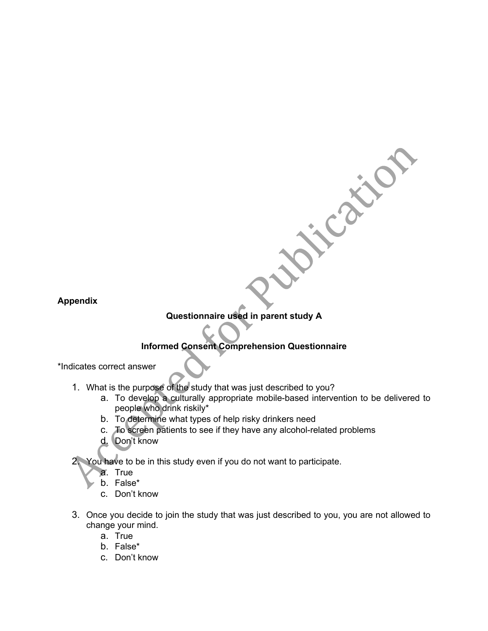**Appendix** 

## **Questionnaire used in parent study A**

## **Informed Consent Comprehension Questionnaire**

\*Indicates correct answer

- 1. What is the purpose of the study that was just described to you?
	- a. To develop a culturally appropriate mobile-based intervention to be delivered to people who drink riskily\*

Cation

- b. To determine what types of help risky drinkers need
- c. To screen patients to see if they have any alcohol-related problems
- d. Don't know

You have to be in this study even if you do not want to participate.

- a. True
- b. False\*
- c. Don't know
- 3. Once you decide to join the study that was just described to you, you are not allowed to change your mind.
	- a. True
	- b. False\*
	- c. Don't know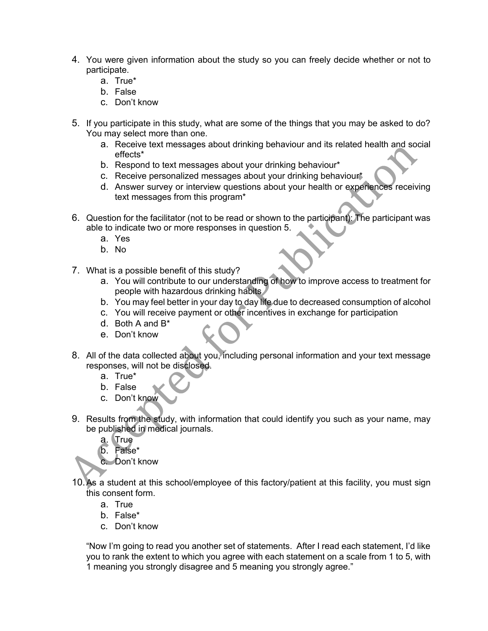- 4. You were given information about the study so you can freely decide whether or not to participate.
	- a. True\*
	- b. False
	- c. Don't know
- 5. If you participate in this study, what are some of the things that you may be asked to do? You may select more than one.
	- a. Receive text messages about drinking behaviour and its related health and social effects\*
	- b. Respond to text messages about your drinking behaviour\*
	- c. Receive personalized messages about your drinking behaviour\*
	- d. Answer survey or interview questions about your health or experiences receiving text messages from this program\*
- 6. Question for the facilitator (not to be read or shown to the participant): The participant was able to indicate two or more responses in question 5.
	- a. Yes
	- b. No
- 7. What is a possible benefit of this study?
	- a. You will contribute to our understanding of how to improve access to treatment for people with hazardous drinking habits
	- b. You may feel better in your day to day life due to decreased consumption of alcohol
	- c. You will receive payment or other incentives in exchange for participation
	- d. Both A and B\*
	- e. Don't know
- 8. All of the data collected about you, including personal information and your text message responses, will not be disclosed.
	- a. True\*
	- b. False
	- c. Don't know
- 9. Results from the study, with information that could identify you such as your name, may be published in medical journals.
	- a. True
	- b. False\*
	- c. Don't know
- 10.As a student at this school/employee of this factory/patient at this facility, you must sign this consent form.
	- a. True
	- b. False\*
	- c. Don't know

"Now I'm going to read you another set of statements. After I read each statement, I'd like you to rank the extent to which you agree with each statement on a scale from 1 to 5, with 1 meaning you strongly disagree and 5 meaning you strongly agree."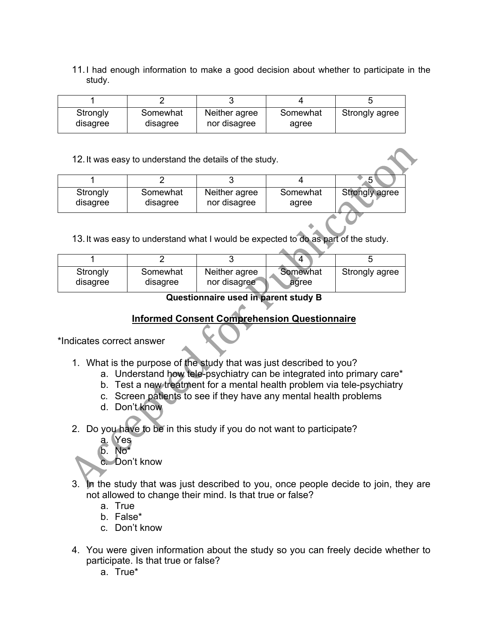11.I had enough information to make a good decision about whether to participate in the study.

| Strongly | Somewhat | Neither agree | Somewhat | Strongly agree |
|----------|----------|---------------|----------|----------------|
| disagree | disagree | nor disagree  | agree    |                |

12.It was easy to understand the details of the study.

| Strongly | Somewhat | Neither agree | Somewhat | Strongly agree |
|----------|----------|---------------|----------|----------------|
| disagree | disagree | nor disagree  | agree    |                |

13.It was easy to understand what I would be expected to do as part of the study.

|                      |                      |                               | Δ                 |                |
|----------------------|----------------------|-------------------------------|-------------------|----------------|
| Strongly<br>disagree | Somewhat<br>disagree | Neither agree<br>nor disagree | Somewhat<br>agree | Strongly agree |

**Questionnaire used in parent study B** 

## **Informed Consent Comprehension Questionnaire**

\*Indicates correct answer

- 1. What is the purpose of the study that was just described to you?
	- a. Understand how tele-psychiatry can be integrated into primary care\*
	- b. Test a new treatment for a mental health problem via tele-psychiatry
	- c. Screen patients to see if they have any mental health problems
	- d. Don't know
- 2. Do you have to be in this study if you do not want to participate?
	- a. Yes
	- b. No\*

c. Don't know

- 3. In the study that was just described to you, once people decide to join, they are not allowed to change their mind. Is that true or false?
	- a. True
	- b. False\*
	- c. Don't know
- 4. You were given information about the study so you can freely decide whether to participate. Is that true or false?
	- a. True\*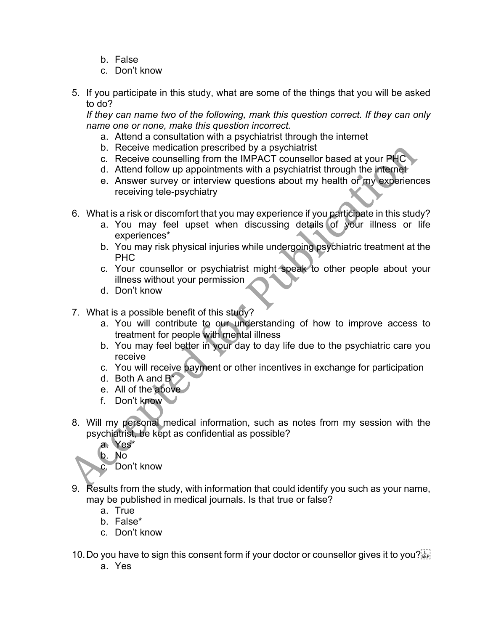- b. False
- c. Don't know
- 5. If you participate in this study, what are some of the things that you will be asked to do?

*If they can name two of the following, mark this question correct. If they can only name one or none, make this question incorrect.* 

- a. Attend a consultation with a psychiatrist through the internet
- b. Receive medication prescribed by a psychiatrist
- c. Receive counselling from the IMPACT counsellor based at your PHC
- d. Attend follow up appointments with a psychiatrist through the internet
- e. Answer survey or interview questions about my health or my experiences receiving tele-psychiatry
- 6. What is a risk or discomfort that you may experience if you participate in this study?
	- a. You may feel upset when discussing details of your illness or life experiences\*
	- b. You may risk physical injuries while undergoing psychiatric treatment at the PHC
	- c. Your counsellor or psychiatrist might speak to other people about your illness without your permission
	- d. Don't know
- 7. What is a possible benefit of this study?
	- a. You will contribute to our understanding of how to improve access to treatment for people with mental illness
	- b. You may feel better in your day to day life due to the psychiatric care you receive
	- c. You will receive payment or other incentives in exchange for participation
	- d. Both A and  $B^*$
	- e. All of the above
	- f. Don't know
- 8. Will my personal medical information, such as notes from my session with the psychiatrist, be kept as confidential as possible?
	- a. Yes\*
	- b. No

c. Don't know

- 9. Results from the study, with information that could identify you such as your name, may be published in medical journals. Is that true or false?
	- a. True
	- b. False\*
	- c. Don't know
- 10. Do you have to sign this consent form if your doctor or counsellor gives it to you?  $\frac{1}{15}$ 
	- a. Yes